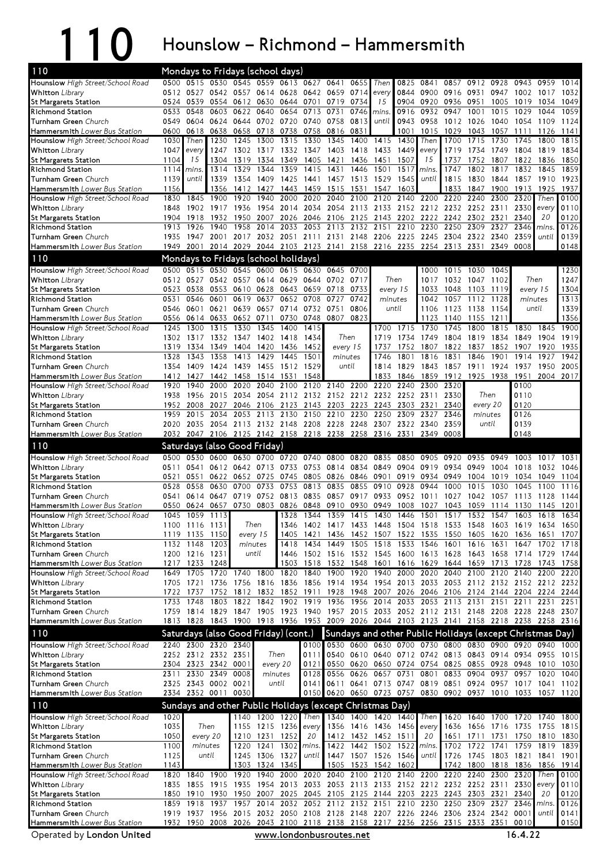## 110 Hounslow – Richmond – Hammersmith

| 110                                                               |              |                             | Mondays to Fridays (school days)                         |                                                        |                |                  |                                    |              |                                            |              |              |                   |                                                                                                                                                                          |                     |              |              |                                       |              |
|-------------------------------------------------------------------|--------------|-----------------------------|----------------------------------------------------------|--------------------------------------------------------|----------------|------------------|------------------------------------|--------------|--------------------------------------------|--------------|--------------|-------------------|--------------------------------------------------------------------------------------------------------------------------------------------------------------------------|---------------------|--------------|--------------|---------------------------------------|--------------|
| Hounslow High Street/School Road                                  | 0500         |                             | 0515 0530 0545 0559 0613 0627 0641                       |                                                        |                |                  |                                    |              | 0655                                       | Then         | 0825         | 0841              | 0857                                                                                                                                                                     | 0912                | 0928         | 0943         | 0959                                  | 1014         |
| <b>Whitton</b> Library                                            | 0512         | 0527                        | 0542                                                     | 0557                                                   |                | 0614 0628 0642   |                                    | 0659         | 0714                                       | every        | 0844         | 0900              | 0916                                                                                                                                                                     | 0931                | 0947         | 1002         | 1017                                  | 1032         |
| St Margarets Station<br>Richmond Station                          | 0524<br>0533 | 0539<br>0548                | 0603                                                     | 0554 0612<br>0622                                      | 0630<br>0640   | 0644<br>0654     | 0701<br>0713                       | 0719<br>0731 | 0734<br>0746                               | 15<br>mins.  | 0904<br>0916 | 0920<br>0932      | 0936<br>0947                                                                                                                                                             | 0951<br>1001        | 1005<br>1015 | 1019<br>1029 | 1034<br>1044                          | 1049<br>1059 |
| Turnham Green Church                                              | 0549         | 0604                        |                                                          | 0624 0644                                              |                | 0702 0720 0740   |                                    | 0758 0813    |                                            | until        | 0943         | 0958              | 1012 1026                                                                                                                                                                |                     | 1040         | 1054         | 1109                                  | 1124         |
| Hammersmith Lower Bus Station                                     | 0600         | 0618                        |                                                          | 0638 0658                                              | 0718           | 0738             | 0758                               | 0816         | 0831                                       |              | 1001         | 1015              | 1029                                                                                                                                                                     | 1043                | 1057         | 1111         | 1126                                  | 1141         |
| Hounslow High Street/School Road                                  | 1030         | Then                        | 1230                                                     | 1245                                                   | 1300           | 1315             | 1330                               | 1345         | 1400                                       | 1415         | 1430         | Then              | 1700                                                                                                                                                                     | 1715                | 1730         | 1745         | 1800                                  | 1815         |
| <b>Whitton</b> Library                                            | 1047         | every                       | 1247                                                     | 1302                                                   | 1317           | 1332             | 1347                               | 1403         | 1418                                       | 1433         | 1449         | every             | 1719                                                                                                                                                                     | 1734                | 1749         | 1804         | 1819                                  | 1834         |
| <b>St Margarets Station</b><br>Richmond Station                   | 1104<br>1114 | 15<br>mins                  | 1304<br>1314                                             | 1319<br>1329                                           | 1334<br>1344   | 1349<br>1359     | 1405<br>1415                       | 1421<br>1431 | 1436<br>1446                               | 1451<br>1501 | 1507<br>1517 | 15<br><i>mins</i> | 1737<br>1747                                                                                                                                                             | 1752<br>1802        | 1807<br>1817 | 1822<br>1832 | 1836<br>1845                          | 1850<br>1859 |
| Turnham Green Church                                              | 1139         | until                       | 1339                                                     | 1354                                                   | 1409           | 1425             | 1441                               | 1457         | 1513                                       | 1529         | 1545         | until             | 1815                                                                                                                                                                     | 1830                | 1844         | 1857         | 1910                                  | 1923         |
| Hammersmith Lower Bus Station                                     | 1156         |                             | 1356                                                     | 1412                                                   | 1427           | 1443             | 1459                               | 1515         | 1531                                       | 1547         | 1603         |                   | 1833                                                                                                                                                                     | 1847                | 1900         | 1913         | 1925                                  | 1937         |
| Hounslow High Street/School Road                                  | 1830         | 1845                        | 1900                                                     | 1920                                                   | 1940           | 2000             | 2020                               | 2040         | 2100                                       | 2120         | 2140         | 2200              | 2220                                                                                                                                                                     | 2240                | 2300         | 2320         | Then                                  | 0100         |
| <b>Whitton</b> Library                                            | 1848         |                             | 1902 1917 1936                                           |                                                        |                | 1954 2014        | 2034                               |              | 2054 2113 2133                             |              |              |                   | 2152 2212 2232 2252 2311                                                                                                                                                 |                     |              | 2330         | every                                 | 0110         |
| <b>St Margarets Station</b><br><b>Richmond Station</b>            | 1904         | 1918                        | 1932                                                     | 1950<br>1958                                           | 2007<br>2014   | 2026             | 2046<br>2053                       | 2113         | 2106 2125                                  | 2143         | 2210         | 2202 2222 2242    |                                                                                                                                                                          | 2302<br>2309        | 2321         | 2340<br>2346 | 20                                    | 0120         |
| Turnham Green Church                                              | 1913<br>1935 | 1926<br>1947                | 1940                                                     | 2001 2017 2032 2051 2111 2131 2148 2206 2225 2245 2304 |                | 2033             |                                    |              | 2132                                       | 2151         |              | 2230              | 2250                                                                                                                                                                     | 2322 2340           | 2327         | 2359         | <i>mins</i><br>until                  | 0126<br>0139 |
| Hammersmith Lower Bus Station                                     | 1949         | 2001                        |                                                          | 2014 2029                                              |                |                  | 2044 2103 2123 2141 2158 2216 2235 |              |                                            |              |              | 2254              | 2313                                                                                                                                                                     | 2331                | 2349         | 0008         |                                       | 0148         |
| 110                                                               |              |                             | Mondays to Fridays (school holidays)                     |                                                        |                |                  |                                    |              |                                            |              |              |                   |                                                                                                                                                                          |                     |              |              |                                       |              |
| Hounslow High Street/School Road                                  | 0500         | 0515                        | 0530                                                     | 0545 0600                                              |                |                  | 0615 0630                          | 0645         | 0700                                       |              |              | 1000              | 1015                                                                                                                                                                     | 1030                | 1045         |              |                                       | 1230         |
| <b>Whitton</b> Library                                            |              | 0512 0527                   |                                                          | 0542 0557                                              |                | 0614 0629 0644   |                                    | 0702 0717    |                                            |              | Then         | 1017              | 1032                                                                                                                                                                     | 1047                | 1102         |              | Then                                  | 1247         |
| St Margarets Station                                              | 0523         | 0538                        | 0553                                                     | 0610                                                   | 0628           | 0643             | 0659                               | 0718         | 0733                                       |              | every 15     | 1033              | 1048                                                                                                                                                                     | 1103                | 1119         |              | every 15                              | 1304         |
| Richmond Station                                                  | 0531         | 0546                        | 0601                                                     | 0619                                                   | 0637           | 0652             | 0708                               | 0727         | 0742                                       |              | minutes      | 1042              | 1057                                                                                                                                                                     | 1112                | 1128         | minutes      |                                       | 1313         |
| Turnham Green Church                                              | 0546         | 0601                        | 0621                                                     | 0639                                                   | 0657           | 0714             | 0732                               | 0751         | 0806                                       |              | until        | 1106              | 1123                                                                                                                                                                     | 1138                | 1154         |              | until                                 | 1339         |
| Hammersmith Lower Bus Station<br>Hounslow High Street/School Road | 0556<br>1245 | 0614<br>1300                | 0633<br>1315                                             | 0652<br>1330                                           | 0711<br>1345   | 1400             | 0730 0748<br>1415                  |              | 0807 0823                                  | 1700         | 1715         | 1123<br>1730      | 1140<br>1745                                                                                                                                                             | 1155<br>1800        | 1211<br>1815 | 1830         | 1845                                  | 1356<br>1900 |
| <b>Whitton</b> Library                                            | 1302         | 1317                        |                                                          | 1332 1347                                              |                | 1402 1418        | 1434                               |              | Then                                       | 1719         | 1734         | 1749              | 1804                                                                                                                                                                     | 1819                | 1834         | 1849         | 1904                                  | 1919         |
| St Margarets Station                                              | 1319         | 1334                        | 1349                                                     | 1404                                                   | 1420           | 1436             | 1452                               |              | every 15                                   | 1737         | 1752         | 1807              | 1822                                                                                                                                                                     | 1837                | 1852         | 1907         | 1920                                  | 1935         |
| Richmond Station                                                  | 1328         | 1343                        | 1358                                                     | 1413                                                   | 1429           | 1445             | 1501                               |              | minutes                                    | 1746         | 1801         | 1816              | 1831                                                                                                                                                                     | 1846                | 1901         | 1914         | 1927                                  | 1942         |
| Turnham Green Church                                              | 1354         | 1409                        | 1424                                                     | 1439                                                   |                | 1455 1512 1529   |                                    |              | until                                      | 1814         | 1829         | 1843              |                                                                                                                                                                          | 1857 1911 1924      |              | 1937         | 1950                                  | 2005         |
| Hammersmith Lower Bus Station                                     | 1412         | 1427                        | 1442                                                     | 1458                                                   | 1514           | 1531             | 1548                               |              |                                            | 1833         | 1846         | 1859              | 1912                                                                                                                                                                     | 1925                | 1938         | 1951         | 2004                                  | 2017         |
| Hounslow High Street/School Road<br><b>Whitton</b> Library        | 1920<br>1938 | 1940<br>1956                | 2000<br>2015                                             | 2020<br>2034                                           | 2040<br>2054   | 2100<br>2112     | 2120<br>2132                       | 2140         | 2200<br>2152 2212                          | 2220<br>2232 | 2240         | 2300<br>2252 2311 | 2320<br>2330                                                                                                                                                             |                     | Then         | 0100<br>0110 |                                       |              |
| St Margarets Station                                              | 1952         | 2008                        | 2027                                                     | 2046                                                   |                | 2106 2123        | 2143                               |              | 2203 2223                                  | 2243         | 2303 2321    |                   | 2340                                                                                                                                                                     | every 20            |              | 0120         |                                       |              |
| <b>Richmond Station</b>                                           | 1959         | 2015                        | 2034                                                     | 2053                                                   | 2113           | 2130             | 2150                               | 2210         | 2230                                       | 2250         | 2309         | 2327              | 2346                                                                                                                                                                     | minutes             |              | 0126         |                                       |              |
| Turnham Green Church                                              | 2020         | 2035                        |                                                          | 2054 2113 2132 2148 2208                               |                |                  |                                    |              | 2228 2248 2307 2322 2340                   |              |              |                   | 2359                                                                                                                                                                     |                     | until        | 0139         |                                       |              |
| Hammersmith Lower Bus Station                                     |              |                             | 2032 2047 2106 2125 2142 2158 2218 2238 2258 2316 2331   |                                                        |                |                  |                                    |              |                                            |              |              | 2349              | 0008                                                                                                                                                                     |                     |              | 0148         |                                       |              |
|                                                                   |              |                             |                                                          |                                                        |                |                  |                                    |              |                                            |              |              |                   |                                                                                                                                                                          |                     |              |              |                                       |              |
| 110                                                               |              |                             | Saturdays (also Good Friday)                             |                                                        |                |                  |                                    |              |                                            |              |              |                   |                                                                                                                                                                          |                     |              |              |                                       |              |
| Hounslow High Street/School Road                                  | 0500         | 0530                        | 0600                                                     | 0630                                                   | 0700           | 0720             | 0740                               | 0800         | 0820                                       | 0835         | 0850         | 0905              | 0920                                                                                                                                                                     | 0935                | 0949         | 1003         | 1017                                  | 1031         |
| <b>Whitton</b> Library                                            | 0511         | 0541                        |                                                          | 0612 0642                                              | 0713           | 0733             | 0753                               | 0814         | 0834                                       | 0849         | 0904         | 0919              | 0934                                                                                                                                                                     | 0949                | 1004         | 1018         | 1032                                  | 1046         |
| St Margarets Station                                              | 0521         | 0551                        | 0622                                                     | 0652                                                   | 0725           | 0745             | 0805                               | 0826         | 0846                                       | 0901         | 0919         | 0934              | 0949                                                                                                                                                                     | 1004                | 1019         | 1034         | 1049                                  | 1104         |
| Richmond Station                                                  | 0528         | 0558                        | 0630                                                     | 0700                                                   | 0733           | 0753             | 0813                               | 0835         | 0855                                       | 0910         | 0928         | 0944              | 1000                                                                                                                                                                     | 1015                | 1030         | 1045         | 1100                                  | 1116         |
| Turnham Green Church                                              | 0541<br>0550 | 0614                        | 0657                                                     | 0647 0719                                              |                | 0752 0813 0835   |                                    | 0910         | 0857 0917<br>0930                          | 0933<br>0949 |              | 0952 1011<br>1027 | 1027<br>1043                                                                                                                                                             | 1042 1057 1113      | 1114         | 1130         | 1128                                  | 1144<br>1201 |
| Hammersmith Lower Bus Station<br>Hounslow High Street/School Road | 1045         | 0624<br>1059                | 1113                                                     |                                                        | 0730 0803      | 0826<br>1328     | 0848<br>1344                       |              |                                            |              | 1008         |                   | 1359 1415 1430 1446 1501 1517 1532 1547                                                                                                                                  | 1059                |              | 1603 1618    | 1145                                  | 1634         |
| <b>Whitton</b> Library                                            |              | 1100 1116 1131              |                                                          | Then                                                   |                | 1346             | 1402                               |              | 1417 1433 1448 1504 1518                   |              |              |                   |                                                                                                                                                                          | 1533 1548 1603 1619 |              |              | 1634                                  | 1650         |
| St Margarets Station                                              |              | 1119 1135 1150              |                                                          |                                                        | every 15       |                  |                                    |              |                                            |              |              |                   | 1405 1421 1436 1452 1507 1522 1535 1550 1605 1620 1636 1651 1707                                                                                                         |                     |              |              |                                       |              |
| Richmond Station                                                  |              | 1132 1148                   | 1203                                                     |                                                        | minutes        |                  | 1418 1434 1449                     |              | 1505                                       | 1518         |              | 1533 1546         | 1601                                                                                                                                                                     | 1616                | 1631         | 1647         | 1702                                  | 1718         |
| Turnham Green Church                                              |              | 1200 1216 1231              |                                                          |                                                        | until          |                  |                                    |              |                                            |              |              |                   | 1446 1502 1516 1532 1545 1600 1613 1628 1643 1658 1714 1729 1744                                                                                                         |                     |              |              | 1743 1758                             |              |
| Hammersmith Lower Bus Station<br>Hounslow High Street/School Road |              | 1217 1233 1248<br>1649 1705 | 1720                                                     | 1740                                                   | 1800           | 1820             | 1840                               | 1900         | 1920                                       | 1940         | 2000         | 2020              | 1503 1518 1532 1548 1601 1616 1629 1644 1659 1713 1728<br>2040 2100                                                                                                      |                     |              | 2120 2140    | 2200                                  | 2220         |
| <b>Whitton</b> Library                                            |              | 1705 1721                   |                                                          |                                                        |                |                  |                                    |              |                                            |              |              |                   | 1736 1756 1816 1836 1856 1914 1934 1954 2013 2033 2053 2112 2132 2152 2212 2232                                                                                          |                     |              |              |                                       |              |
| <b>St Margarets Station</b>                                       |              | 1722 1737                   |                                                          | 1752 1812                                              |                |                  | 1832 1852 1911                     | 1928         | 1948                                       |              |              |                   | 2007 2026 2046 2106 2124 2144 2204 2224                                                                                                                                  |                     |              |              |                                       | 2244         |
| Richmond Station                                                  |              | 1733 1748                   |                                                          |                                                        |                |                  |                                    |              |                                            |              |              |                   | 1803 1822 1842 1902 1919 1936 1956 2014 2033 2053 2113 2131 2151 2211 2231                                                                                               |                     |              |              |                                       | 2251         |
| Turnham Green Church                                              |              |                             |                                                          |                                                        |                |                  |                                    |              |                                            |              |              |                   | 1759 1814 1829 1847 1905 1923 1940 1957 2015 2033 2052 2112 2131 2148 2208 2228 2248 2307                                                                                |                     |              |              |                                       |              |
| Hammersmith Lower Bus Station                                     |              |                             |                                                          |                                                        |                |                  |                                    |              |                                            |              |              |                   | 1813 1828 1843 1900 1918 1936 1953 2009 2026 2044 2103 2123 2141 2158 2218 2238 2258 2316                                                                                |                     |              |              |                                       |              |
| 110                                                               |              |                             | Saturdays (also Good Friday) (cont.)                     |                                                        |                |                  |                                    |              |                                            |              |              |                   | Sundays and other Public Holidays (except Christmas Day)                                                                                                                 |                     |              |              |                                       |              |
| Hounslow High Street/School Road                                  |              |                             | 2240 2300 2320 2340                                      |                                                        |                |                  |                                    |              |                                            |              |              |                   | 0100 0530 0600 0630 0700 0730 0800 0830 0900 0920 0940 1000                                                                                                              |                     |              |              |                                       |              |
| <b>Whitton</b> Library                                            |              |                             | 2252 2312 2332 2351<br>2304 2323 2342 0001               |                                                        |                | Then<br>every 20 |                                    |              |                                            |              |              |                   | 0111 0540 0610 0640 0712 0742 0813 0843 0914 0934 0955 1015<br>0121 0550 0620 0650 0724 0754 0825 0855 0928 0948 1010 1030                                               |                     |              |              |                                       |              |
| St Margarets Station<br>Richmond Station                          | 2311         |                             | 2330 2349 0008                                           |                                                        |                | minutes          |                                    |              | 0128 0556 0626 0657 0731                   |              |              | 0801              |                                                                                                                                                                          |                     |              |              | 0833 0904 0937 0957 1020 1040         |              |
| Turnham Green Church                                              |              |                             | 2325 2343 0002 0021                                      |                                                        |                | until            |                                    |              |                                            |              |              |                   | 0141 0611 0641 0713 0747 0819 0851 0924 0957 1017 1041 1102                                                                                                              |                     |              |              |                                       |              |
| Hammersmith Lower Bus Station                                     |              |                             | 2334 2352 0011 0030                                      |                                                        |                |                  |                                    |              |                                            |              |              |                   | 0150 0620 0650 0723 0757 0830 0902 0937 1010 1033 1057 1120                                                                                                              |                     |              |              |                                       |              |
| 110                                                               |              |                             | Sundays and other Public Holidays (except Christmas Day) |                                                        |                |                  |                                    |              |                                            |              |              |                   |                                                                                                                                                                          |                     |              |              |                                       |              |
| Hounslow High Street/School Road                                  | 1020         |                             |                                                          |                                                        |                | 1140 1200 1220   | Then                               |              | 1340 1400 1420 1440                        |              |              | Then              |                                                                                                                                                                          |                     |              |              | 1620 1640 1700 1720 1740 1800         |              |
| <b>Whitton</b> Library                                            | 1035         |                             | Then                                                     |                                                        |                |                  | 1155 1215 1236 every               |              | 1356 1416 1436 1456                        |              |              | every             |                                                                                                                                                                          | 1636 1656 1716 1735 |              |              | 1755 1815                             |              |
| St Margarets Station                                              | 1050         |                             | every 20                                                 |                                                        | 1210 1231 1252 |                  | 20                                 |              | 1412 1432 1452 1511                        |              |              | 20                |                                                                                                                                                                          |                     |              |              | 1651 1711 1731 1750 1810 1830         |              |
| Richmond Station                                                  | 1100         |                             | minutes<br>until                                         | 1220                                                   |                | 1241 1302        | mins.<br>until                     |              | 1422 1442 1502 1522                        |              |              | mins.<br>until    |                                                                                                                                                                          | 1702 1722           | 1741         | 1759         | 1819                                  | 1839         |
| Turnham Green Church<br>Hammersmith Lower Bus Station             | 1125<br>1143 |                             |                                                          | 1303                                                   | 1245 1306 1327 | 1324 1345        |                                    |              | 1447 1507 1526 1546<br>1505 1523 1542 1602 |              |              |                   | 1742                                                                                                                                                                     | 1800 1818 1836      |              |              | 1726 1745 1803 1821 1841 1901<br>1856 | 1914         |
| Hounslow High Street/School Road                                  | 1820         |                             | 1840 1900                                                | 1920                                                   |                |                  | 1940 2000 2020                     |              |                                            |              |              |                   | 2040 2100 2120 2140 2200 2220 2240 2300 2320                                                                                                                             |                     |              |              | Then                                  | 0100         |
| <b>Whitton Library</b>                                            | 1835         |                             | 1855 1915 1935                                           |                                                        |                |                  |                                    |              |                                            |              |              |                   | 1954 2013 2033 2053 2113 2133 2152 2212 2232 2252 2311 2330 every                                                                                                        |                     |              |              |                                       | 0110         |
| St Margarets Station                                              |              |                             | 1850 1910 1930                                           | 1950                                                   |                |                  |                                    |              |                                            |              |              |                   | 2007 2025 2045 2105 2125 2144 2203 2223 2243 2303 2321                                                                                                                   |                     |              | 2340         | 20                                    | 0120         |
| Richmond Station<br>Turnham Green Church                          |              |                             |                                                          |                                                        |                |                  |                                    |              |                                            |              |              |                   | 1859 1918 1937 1957 2014 2032 2052 2112 2132 2151 2210 2230 2250 2309 2327 2346 mins.<br>1919 1937 1956 2015 2032 2050 2108 2128 2148 2207 2226 2246 2306 2324 2342 0001 |                     |              |              | until                                 | 0126<br>0141 |

www.londonbusroutes.net 16.4.22